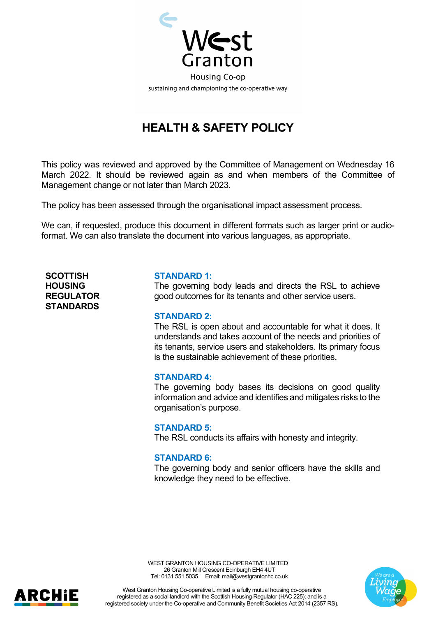

# **HEALTH & SAFETY POLICY**

This policy was reviewed and approved by the Committee of Management on Wednesday 16 March 2022. It should be reviewed again as and when members of the Committee of Management change or not later than March 2023.

The policy has been assessed through the organisational impact assessment process.

We can, if requested, produce this document in different formats such as larger print or audioformat. We can also translate the document into various languages, as appropriate.

**SCOTTISH HOUSING REGULATOR STANDARDS**

#### **STANDARD 1:**

The governing body leads and directs the RSL to achieve good outcomes for its tenants and other service users.

#### **STANDARD 2:**

The RSL is open about and accountable for what it does. It understands and takes account of the needs and priorities of its tenants, service users and stakeholders. Its primary focus is the sustainable achievement of these priorities.

#### **STANDARD 4:**

The governing body bases its decisions on good quality information and advice and identifies and mitigates risks to the organisation's purpose.

#### **STANDARD 5:**

The RSL conducts its affairs with honesty and integrity.

### **STANDARD 6:**

The governing body and senior officers have the skills and knowledge they need to be effective.





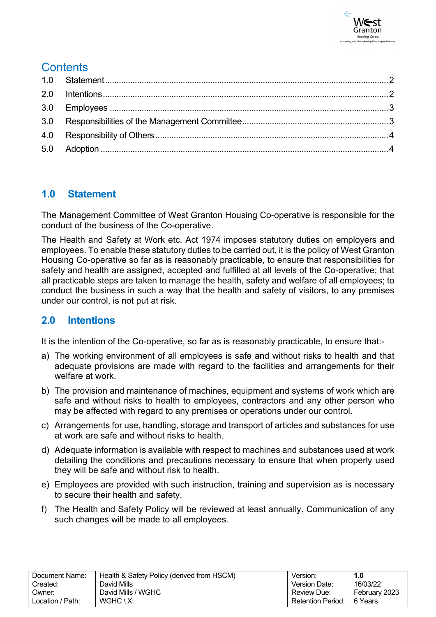

# **Contents**

# <span id="page-1-0"></span>**1.0 Statement**

The Management Committee of West Granton Housing Co-operative is responsible for the conduct of the business of the Co-operative.

The Health and Safety at Work etc. Act 1974 imposes statutory duties on employers and employees. To enable these statutory duties to be carried out, it is the policy of West Granton Housing Co-operative so far as is reasonably practicable, to ensure that responsibilities for safety and health are assigned, accepted and fulfilled at all levels of the Co-operative; that all practicable steps are taken to manage the health, safety and welfare of all employees; to conduct the business in such a way that the health and safety of visitors, to any premises under our control, is not put at risk.

# <span id="page-1-1"></span>**2.0 Intentions**

It is the intention of the Co-operative, so far as is reasonably practicable, to ensure that:-

- a) The working environment of all employees is safe and without risks to health and that adequate provisions are made with regard to the facilities and arrangements for their welfare at work
- b) The provision and maintenance of machines, equipment and systems of work which are safe and without risks to health to employees, contractors and any other person who may be affected with regard to any premises or operations under our control.
- c) Arrangements for use, handling, storage and transport of articles and substances for use at work are safe and without risks to health.
- d) Adequate information is available with respect to machines and substances used at work detailing the conditions and precautions necessary to ensure that when properly used they will be safe and without risk to health.
- e) Employees are provided with such instruction, training and supervision as is necessary to secure their health and safety.
- f) The Health and Safety Policy will be reviewed at least annually. Communication of any such changes will be made to all employees.

| Document Name:   | Health & Safety Policy (derived from HSCM) | Version:                    | 1.0           |
|------------------|--------------------------------------------|-----------------------------|---------------|
| Created:         | David Mills                                | Version Date:               | 16/03/22      |
| Owner:           | David Mills / WGHC                         | Review Due:                 | February 2023 |
| Location / Path: | $WGHC \setminus X$ :                       | Retention Period:   6 Years |               |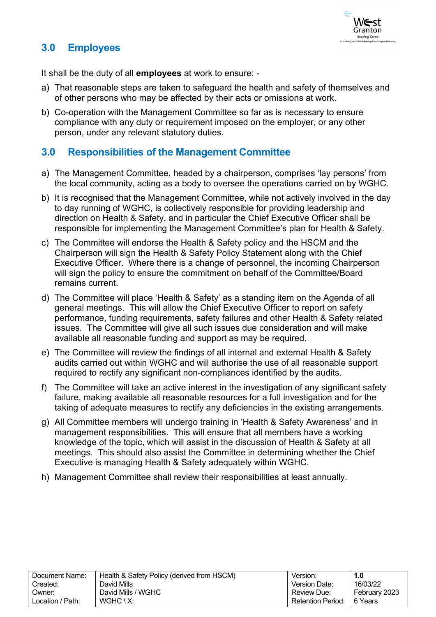

# <span id="page-2-0"></span>**3.0 Employees**

It shall be the duty of all **employees** at work to ensure: -

- a) That reasonable steps are taken to safeguard the health and safety of themselves and of other persons who may be affected by their acts or omissions at work.
- b) Co-operation with the Management Committee so far as is necessary to ensure compliance with any duty or requirement imposed on the employer, or any other person, under any relevant statutory duties.

## <span id="page-2-1"></span>**3.0 Responsibilities of the Management Committee**

- a) The Management Committee, headed by a chairperson, comprises 'lay persons' from the local community, acting as a body to oversee the operations carried on by WGHC.
- b) It is recognised that the Management Committee, while not actively involved in the day to day running of WGHC, is collectively responsible for providing leadership and direction on Health & Safety, and in particular the Chief Executive Officer shall be responsible for implementing the Management Committee's plan for Health & Safety.
- c) The Committee will endorse the Health & Safety policy and the HSCM and the Chairperson will sign the Health & Safety Policy Statement along with the Chief Executive Officer. Where there is a change of personnel, the incoming Chairperson will sign the policy to ensure the commitment on behalf of the Committee/Board remains current.
- d) The Committee will place 'Health & Safety' as a standing item on the Agenda of all general meetings. This will allow the Chief Executive Officer to report on safety performance, funding requirements, safety failures and other Health & Safety related issues. The Committee will give all such issues due consideration and will make available all reasonable funding and support as may be required.
- e) The Committee will review the findings of all internal and external Health & Safety audits carried out within WGHC and will authorise the use of all reasonable support required to rectify any significant non-compliances identified by the audits.
- f) The Committee will take an active interest in the investigation of any significant safety failure, making available all reasonable resources for a full investigation and for the taking of adequate measures to rectify any deficiencies in the existing arrangements.
- g) All Committee members will undergo training in 'Health & Safety Awareness' and in management responsibilities. This will ensure that all members have a working knowledge of the topic, which will assist in the discussion of Health & Safety at all meetings. This should also assist the Committee in determining whether the Chief Executive is managing Health & Safety adequately within WGHC.
- h) Management Committee shall review their responsibilities at least annually.

| Document Name:   | Health & Safety Policy (derived from HSCM) | Version:          | 1.0           |
|------------------|--------------------------------------------|-------------------|---------------|
| Created:         | David Mills                                | Version Date:     | 16/03/22      |
| Owner:           | David Mills / WGHC                         | Review Due:       | February 2023 |
| Location / Path: | $WGHC \setminus X$ :                       | Retention Period: | ∣6 Years      |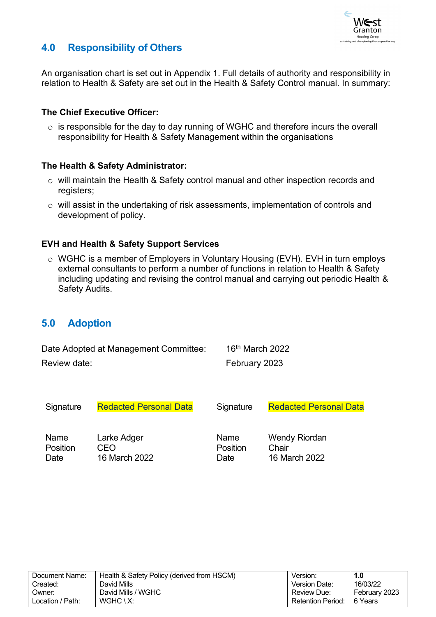

# <span id="page-3-0"></span>**4.0 Responsibility of Others**

An organisation chart is set out in Appendix 1. Full details of authority and responsibility in relation to Health & Safety are set out in the Health & Safety Control manual. In summary:

### **The Chief Executive Officer:**

 $\circ$  is responsible for the day to day running of WGHC and therefore incurs the overall responsibility for Health & Safety Management within the organisations

### **The Health & Safety Administrator:**

- o will maintain the Health & Safety control manual and other inspection records and registers:
- o will assist in the undertaking of risk assessments, implementation of controls and development of policy.

### **EVH and Health & Safety Support Services**

o WGHC is a member of Employers in Voluntary Housing (EVH). EVH in turn employs external consultants to perform a number of functions in relation to Health & Safety including updating and revising the control manual and carrying out periodic Health & Safety Audits.

### <span id="page-3-1"></span>**5.0 Adoption**

| Date Adopted at Management Committee: | $16th$ March 2022 |
|---------------------------------------|-------------------|
| Review date:                          | February 2023     |
|                                       |                   |

| Signature | <b>Redacted Personal Data</b> | Signature | <b>Redacted Personal Data</b> |
|-----------|-------------------------------|-----------|-------------------------------|
| Name      | Larke Adger                   | Name      | <b>Wendy Riordan</b>          |
| Position  | CFO                           | Position  | Chair                         |
| Date      | 16 March 2022                 | Date      | 16 March 2022                 |

| Document Name:   | Health & Safety Policy (derived from HSCM) | Version:                    | 1.0           |
|------------------|--------------------------------------------|-----------------------------|---------------|
| Created:         | David Mills                                | Version Date:               | 16/03/22      |
| Owner:           | David Mills / WGHC                         | Review Due:                 | February 2023 |
| Location / Path: | $WGHC \setminus X$ :                       | Retention Period:   6 Years |               |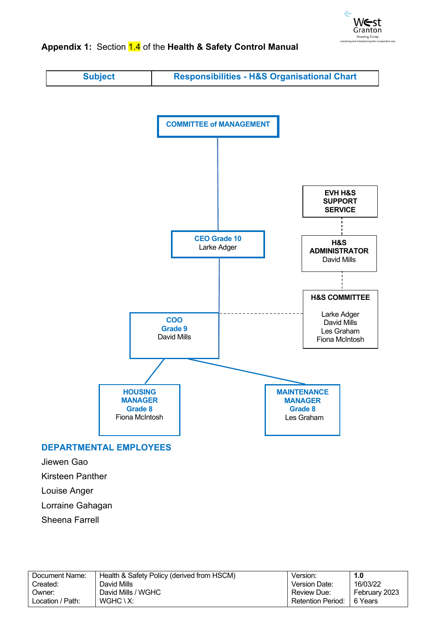

## Appendix 1: Section 1.4 of the Health & Safety Control Manual

**Subject Responsibilities - H&S Organisational Chart**



### **DEPARTMENTAL EMPLOYEES**

Jiewen Gao

Kirsteen Panther

Louise Anger

Lorraine Gahagan

Sheena Farrell

| Document Name:   | Health & Safety Policy (derived from HSCM) | Version:                 | 1.0           |
|------------------|--------------------------------------------|--------------------------|---------------|
| Created:         | David Mills                                | Version Date:            | 16/03/22      |
| Owner:           | David Mills / WGHC                         | Review Due:              | February 2023 |
| Location / Path: | $WGHC \setminus X$ :                       | <b>Retention Period:</b> | 6 Years       |